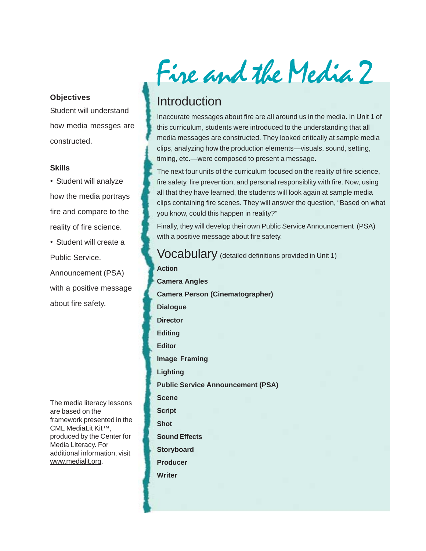#### **Objectives**

Student will understand how media messges are constructed.

#### **Skills**

• Student will analyze how the media portrays fire and compare to the reality of fire science.

• Student will create a Public Service. Announcement (PSA)

with a positive message about fire safety.

The media literacy lessons are based on the framework presented in the CML MediaLit Kit™, produced by the Center for Media Literacy. For additional information, visit www.medialit.org.

Fire and the Media 2

## Introduction

Inaccurate messages about fire are all around us in the media. In Unit 1 of this curriculum, students were introduced to the understanding that all media messages are constructed. They looked critically at sample media clips, analyzing how the production elements—visuals, sound, setting, timing, etc.—were composed to present a message.

The next four units of the curriculum focused on the reality of fire science, fire safety, fire prevention, and personal responsiblity with fire. Now, using all that they have learned, the students will look again at sample media clips containing fire scenes. They will answer the question, "Based on what you know, could this happen in reality?"

Finally, they will develop their own Public Service Announcement (PSA) with a positive message about fire safety.

Vocabulary (detailed definitions provided in Unit 1) **Action Camera Angles Camera Person (Cinematographer) Dialogue Director Editing Editor Image Framing Lighting Public Service Announcement (PSA) Scene Script Shot Sound Effects Storyboard Producer Writer**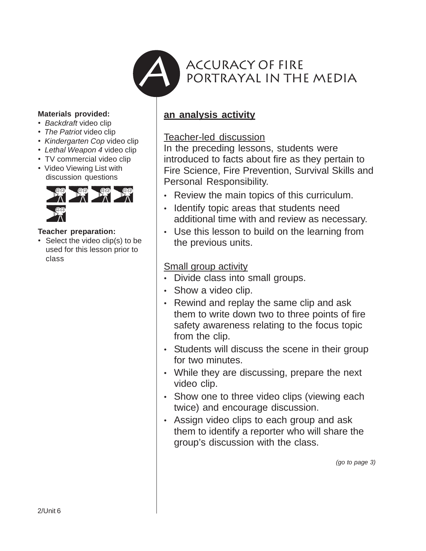

### **Materials provided:**

- *Backdraft* video clip
- *The Patriot* video clip
- *Kindergarten Cop* video clip
- *Lethal Weapon 4* video clip
- TV commercial video clip
- Video Viewing List with discussion questions



### **Teacher preparation:**

• Select the video clip(s) to be used for this lesson prior to class

## **an analysis activity**

## Teacher-led discussion

In the preceding lessons, students were introduced to facts about fire as they pertain to Fire Science, Fire Prevention, Survival Skills and Personal Responsibility.

- Review the main topics of this curriculum.
- Identify topic areas that students need additional time with and review as necessary.
- Use this lesson to build on the learning from the previous units.

## Small group activity

- Divide class into small groups.
- Show a video clip.
- Rewind and replay the same clip and ask them to write down two to three points of fire safety awareness relating to the focus topic from the clip.
- Students will discuss the scene in their group for two minutes.
- While they are discussing, prepare the next video clip.
- Show one to three video clips (viewing each twice) and encourage discussion.
- Assign video clips to each group and ask them to identify a reporter who will share the group's discussion with the class.

*(go to page 3)*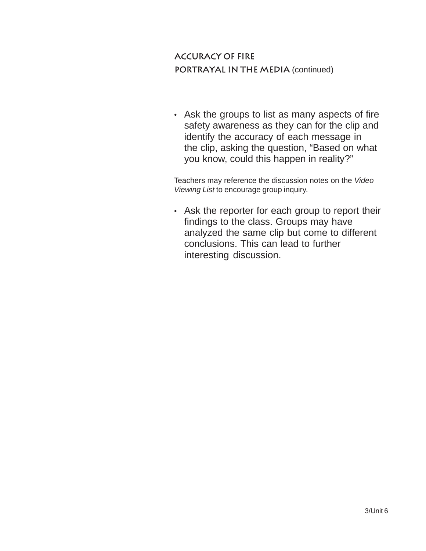**Accuracy of Fire portrayal in the media** (continued)

• Ask the groups to list as many aspects of fire safety awareness as they can for the clip and identify the accuracy of each message in the clip, asking the question, "Based on what you know, could this happen in reality?"

Teachers may reference the discussion notes on the *Video Viewing List* to encourage group inquiry.

• Ask the reporter for each group to report their findings to the class. Groups may have analyzed the same clip but come to different conclusions. This can lead to further interesting discussion.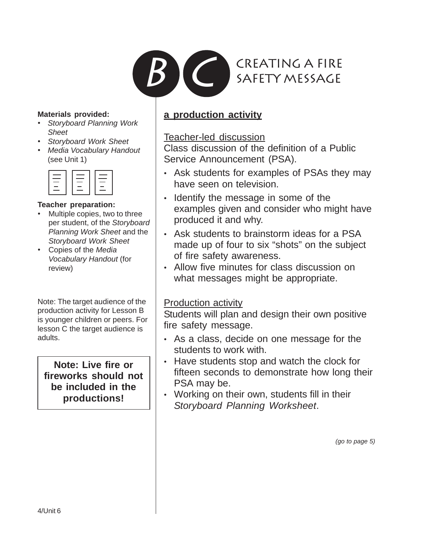

### **Materials provided:**

- *Storyboard Planning Work Sheet*
- *Storyboard Work Sheet*
- *Media Vocabulary Handout* (see Unit 1)

| <u> - The Communication of the Communication of</u> | <u> - The Communication of the Communication of</u> |
|-----------------------------------------------------|-----------------------------------------------------|
|                                                     |                                                     |
| _                                                   | _                                                   |
| $\overline{\phantom{a}}$                            | -                                                   |
| ____                                                | ____                                                |
|                                                     |                                                     |

## **Teacher preparation:**

- Multiple copies, two to three per student, of the *Storyboard Planning Work Sheet* and the *Storyboard Work Sheet*
- Copies of the *Media Vocabulary Handout* (for review)

Note: The target audience of the production activity for Lesson B is younger children or peers. For lesson C the target audience is adults.

**Note: Live fire or fireworks should not be included in the productions!**

## **a production activity**

## Teacher-led discussion

Class discussion of the definition of a Public Service Announcement (PSA).

- Ask students for examples of PSAs they may have seen on television.
- Identify the message in some of the examples given and consider who might have produced it and why.
- Ask students to brainstorm ideas for a PSA made up of four to six "shots" on the subject of fire safety awareness.
- Allow five minutes for class discussion on what messages might be appropriate.

## Production activity

Students will plan and design their own positive fire safety message.

- As a class, decide on one message for the students to work with.
- Have students stop and watch the clock for fifteen seconds to demonstrate how long their PSA may be.
- Working on their own, students fill in their *Storyboard Planning Worksheet*.

*(go to page 5)*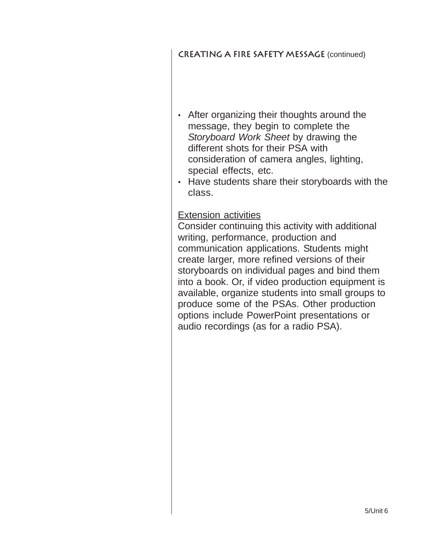## **creating a fire safety message** (continued)

- After organizing their thoughts around the message, they begin to complete the *Storyboard Work Sheet* by drawing the different shots for their PSA with consideration of camera angles, lighting, special effects, etc.
- Have students share their storyboards with the class.

## Extension activities

Consider continuing this activity with additional writing, performance, production and communication applications. Students might create larger, more refined versions of their storyboards on individual pages and bind them into a book. Or, if video production equipment is available, organize students into small groups to produce some of the PSAs. Other production options include PowerPoint presentations or audio recordings (as for a radio PSA).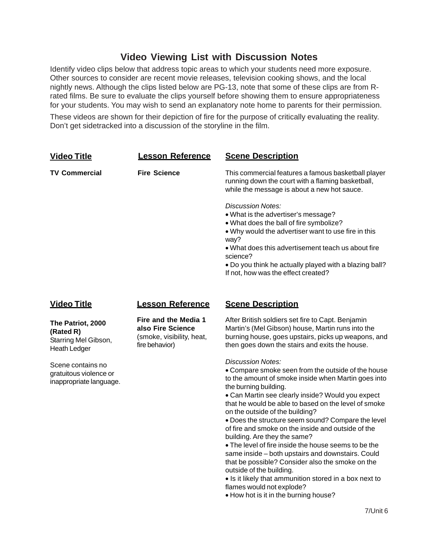## **Video Viewing List with Discussion Notes**

Identify video clips below that address topic areas to which your students need more exposure. Other sources to consider are recent movie releases, television cooking shows, and the local nightly news. Although the clips listed below are PG-13, note that some of these clips are from Rrated films. Be sure to evaluate the clips yourself before showing them to ensure appropriateness for your students. You may wish to send an explanatory note home to parents for their permission.

These videos are shown for their depiction of fire for the purpose of critically evaluating the reality. Don't get sidetracked into a discussion of the storyline in the film.

| <b>Video Title</b>                                                            | <b>Lesson Reference</b>                                                                  | <b>Scene Description</b>                                                                                                                                                                                                                                                                                                                                                                                                                                                                                                                                                                                                                                                                                                                                                                |
|-------------------------------------------------------------------------------|------------------------------------------------------------------------------------------|-----------------------------------------------------------------------------------------------------------------------------------------------------------------------------------------------------------------------------------------------------------------------------------------------------------------------------------------------------------------------------------------------------------------------------------------------------------------------------------------------------------------------------------------------------------------------------------------------------------------------------------------------------------------------------------------------------------------------------------------------------------------------------------------|
| <b>TV Commercial</b>                                                          | <b>Fire Science</b>                                                                      | This commercial features a famous basketball player<br>running down the court with a flaming basketball,<br>while the message is about a new hot sauce.                                                                                                                                                                                                                                                                                                                                                                                                                                                                                                                                                                                                                                 |
|                                                                               |                                                                                          | Discussion Notes:<br>. What is the advertiser's message?<br>. What does the ball of fire symbolize?<br>. Why would the advertiser want to use fire in this<br>way?<br>• What does this advertisement teach us about fire<br>science?<br>. Do you think he actually played with a blazing ball?<br>If not, how was the effect created?                                                                                                                                                                                                                                                                                                                                                                                                                                                   |
| <b>Video Title</b>                                                            | <b>Lesson Reference</b>                                                                  | <b>Scene Description</b>                                                                                                                                                                                                                                                                                                                                                                                                                                                                                                                                                                                                                                                                                                                                                                |
| The Patriot, 2000<br>(Rated R)<br>Starring Mel Gibson,<br><b>Heath Ledger</b> | Fire and the Media 1<br>also Fire Science<br>(smoke, visibility, heat,<br>fire behavior) | After British soldiers set fire to Capt. Benjamin<br>Martin's (Mel Gibson) house, Martin runs into the<br>burning house, goes upstairs, picks up weapons, and<br>then goes down the stairs and exits the house.                                                                                                                                                                                                                                                                                                                                                                                                                                                                                                                                                                         |
| Scene contains no<br>gratuitous violence or<br>inappropriate language.        |                                                                                          | <b>Discussion Notes:</b><br>• Compare smoke seen from the outside of the house<br>to the amount of smoke inside when Martin goes into<br>the burning building.<br>• Can Martin see clearly inside? Would you expect<br>that he would be able to based on the level of smoke<br>on the outside of the building?<br>. Does the structure seem sound? Compare the level<br>of fire and smoke on the inside and outside of the<br>building. Are they the same?<br>. The level of fire inside the house seems to be the<br>same inside - both upstairs and downstairs. Could<br>that be possible? Consider also the smoke on the<br>outside of the building.<br>• Is it likely that ammunition stored in a box next to<br>flames would not explode?<br>. How hot is it in the burning house? |
|                                                                               |                                                                                          | 7/Unit 6                                                                                                                                                                                                                                                                                                                                                                                                                                                                                                                                                                                                                                                                                                                                                                                |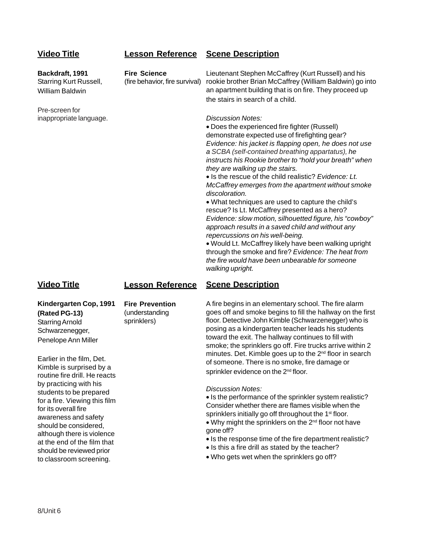### **Video Title**

### **Lesson Reference Scene Description**

**Video Title Backdraft, 1991** Starring Kurt Russell, William Baldwin Pre-screen for inappropriate language. **Fire Science** (fire behavior, fire survival) Lieutenant Stephen McCaffrey (Kurt Russell) and his rookie brother Brian McCaffrey (William Baldwin) go into an apartment building that is on fire. They proceed up the stairs in search of a child. *Discussion Notes:* • Does the experienced fire fighter (Russell) demonstrate expected use of firefighting gear? *Evidence: his jacket is flapping open, he does not use a SCBA (self-contained breathing appartatus), he instructs his Rookie brother to "hold your breath" when they are walking up the stairs.* • Is the rescue of the child realistic? *Evidence: Lt. McCaffrey emerges from the apartment without smoke discoloration.* • What techniques are used to capture the child's rescue? Is Lt. McCaffrey presented as a hero? *Evidence: slow motion, silhouetted figure, his "cowboy" approach results in a saved child and without any repercussions on his well-being.* • Would Lt. McCaffrey likely have been walking upright through the smoke and fire? *Evidence: The heat from the fire would have been unbearable for someone walking upright.*

#### **Lesson Reference Scene Description**

**Kindergarten Cop, 1991 (Rated PG-13)** Starring Arnold Schwarzenegger, Penelope Ann Miller

**Fire Prevention** (understanding sprinklers)

Earlier in the film, Det. Kimble is surprised by a routine fire drill. He reacts by practicing with his students to be prepared for a fire. Viewing this film for its overall fire awareness and safety should be considered, although there is violence at the end of the film that should be reviewed prior to classroom screening.

A fire begins in an elementary school. The fire alarm goes off and smoke begins to fill the hallway on the first floor. Detective John Kimble (Schwarzenegger) who is posing as a kindergarten teacher leads his students toward the exit. The hallway continues to fill with smoke; the sprinklers go off. Fire trucks arrive within 2 minutes. Det. Kimble goes up to the 2<sup>nd</sup> floor in search of someone. There is no smoke, fire damage or sprinkler evidence on the 2<sup>nd</sup> floor.

#### *Discussion Notes:*

• Is the performance of the sprinkler system realistic? Consider whether there are flames visible when the sprinklers initially go off throughout the 1<sup>st</sup> floor.

- Why might the sprinklers on the  $2^{nd}$  floor not have gone off?
- Is the response time of the fire department realistic?
- Is this a fire drill as stated by the teacher?
- Who gets wet when the sprinklers go off?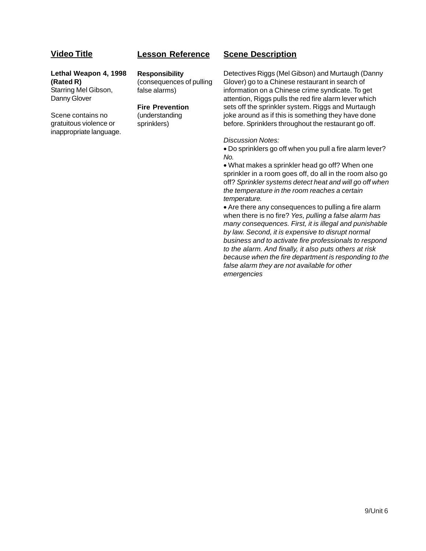### **Video Title**

## **Lesson Reference**

#### **Lethal Weapon 4, 1998 (Rated R)** Starring Mel Gibson, Danny Glover

Scene contains no gratuitous violence or inappropriate language. **Responsibility**

(consequences of pulling false alarms)

#### **Fire Prevention**

(understanding sprinklers)

### **Scene Description**

Detectives Riggs (Mel Gibson) and Murtaugh (Danny Glover) go to a Chinese restaurant in search of information on a Chinese crime syndicate. To get attention, Riggs pulls the red fire alarm lever which sets off the sprinkler system. Riggs and Murtaugh joke around as if this is something they have done before. Sprinklers throughout the restaurant go off.

#### *Discussion Notes:*

• Do sprinklers go off when you pull a fire alarm lever? *No.*

• What makes a sprinkler head go off? When one sprinkler in a room goes off, do all in the room also go off? *Sprinkler systems detect heat and will go off when the temperature in the room reaches a certain temperature.*

• Are there any consequences to pulling a fire alarm when there is no fire? *Yes, pulling a false alarm has many consequences. First, it is illegal and punishable by law. Second, it is expensive to disrupt normal business and to activate fire professionals to respond to the alarm. And finally, it also puts others at risk because when the fire department is responding to the false alarm they are not available for other emergencies*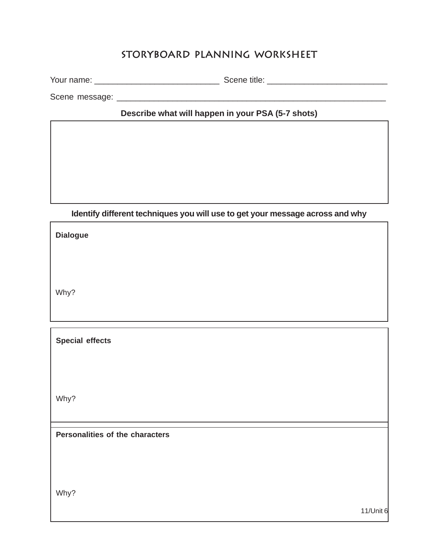## **Storyboard Planning Worksheet**

Your name: \_\_\_\_\_\_\_\_\_\_\_\_\_\_\_\_\_\_\_\_\_\_\_\_\_\_\_ Scene title: \_\_\_\_\_\_\_\_\_\_\_\_\_\_\_\_\_\_\_\_\_\_\_\_\_\_

Scene message: \_\_\_\_\_\_\_\_\_\_\_\_\_\_\_\_\_\_\_\_\_\_\_\_\_\_\_\_\_\_\_\_\_\_\_\_\_\_\_\_\_\_\_\_\_\_\_\_\_\_\_\_\_\_\_\_\_\_

**Describe what will happen in your PSA (5-7 shots)**

## **Identify different techniques you will use to get your message across and why**

**Dialogue**

Why?

**Special effects**

Why?

**Personalities of the characters**

Why?

11/Unit 6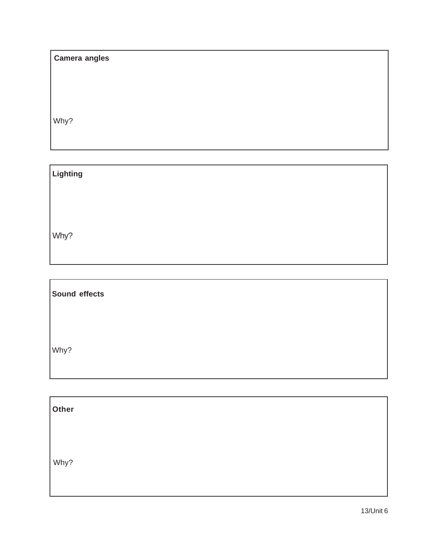| <b>Camera angles</b> |  |
|----------------------|--|
|                      |  |

Why?

**Lighting**

Why?

r

Why? **Sound effects**

| Other |  |  |  |
|-------|--|--|--|
|       |  |  |  |
| Why?  |  |  |  |
|       |  |  |  |